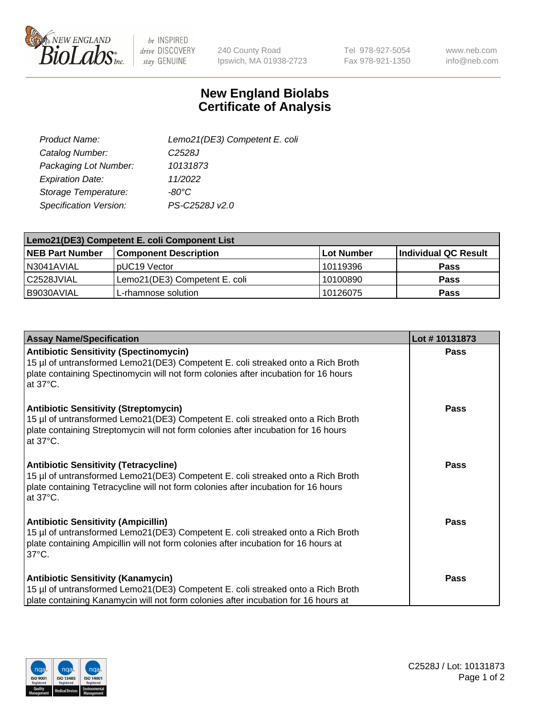

 $be$  INSPIRED drive DISCOVERY stay GENUINE

240 County Road Ipswich, MA 01938-2723 Tel 978-927-5054 Fax 978-921-1350

www.neb.com info@neb.com

## **New England Biolabs Certificate of Analysis**

| Lemo21(DE3) Competent E. coli |
|-------------------------------|
| C <sub>2528</sub> J           |
| 10131873                      |
| 11/2022                       |
| $-80^{\circ}$ C               |
| PS-C2528J v2.0                |
|                               |

| Lemo21(DE3) Competent E. coli Component List |                               |                   |                      |  |
|----------------------------------------------|-------------------------------|-------------------|----------------------|--|
| <b>NEB Part Number</b>                       | <b>Component Description</b>  | <b>Lot Number</b> | Individual QC Result |  |
| I N3041AVIAL                                 | IpUC19 Vector                 | 10119396          | Pass                 |  |
| C2528JVIAL                                   | Lemo21(DE3) Competent E. coli | 10100890          | <b>Pass</b>          |  |
| B9030AVIAL                                   | L-rhamnose solution           | 10126075          | <b>Pass</b>          |  |

| <b>Assay Name/Specification</b>                                                                                                                                                                                                             | Lot #10131873 |
|---------------------------------------------------------------------------------------------------------------------------------------------------------------------------------------------------------------------------------------------|---------------|
| <b>Antibiotic Sensitivity (Spectinomycin)</b><br>15 µl of untransformed Lemo21(DE3) Competent E. coli streaked onto a Rich Broth<br>plate containing Spectinomycin will not form colonies after incubation for 16 hours<br>at 37°C.         | Pass          |
| <b>Antibiotic Sensitivity (Streptomycin)</b><br>15 µl of untransformed Lemo21(DE3) Competent E. coli streaked onto a Rich Broth<br>plate containing Streptomycin will not form colonies after incubation for 16 hours<br>at $37^{\circ}$ C. | Pass          |
| <b>Antibiotic Sensitivity (Tetracycline)</b><br>15 µl of untransformed Lemo21(DE3) Competent E. coli streaked onto a Rich Broth<br>plate containing Tetracycline will not form colonies after incubation for 16 hours<br>at 37°C.           | Pass          |
| <b>Antibiotic Sensitivity (Ampicillin)</b><br>15 µl of untransformed Lemo21(DE3) Competent E. coli streaked onto a Rich Broth<br>plate containing Ampicillin will not form colonies after incubation for 16 hours at<br>$37^{\circ}$ C.     | Pass          |
| <b>Antibiotic Sensitivity (Kanamycin)</b><br>15 µl of untransformed Lemo21(DE3) Competent E. coli streaked onto a Rich Broth<br>plate containing Kanamycin will not form colonies after incubation for 16 hours at                          | Pass          |